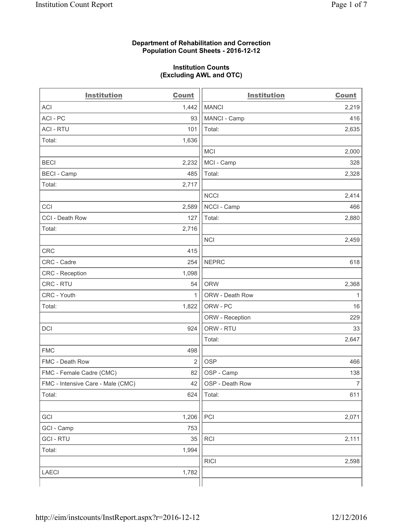#### **Department of Rehabilitation and Correction Population Count Sheets - 2016-12-12**

#### **Institution Counts (Excluding AWL and OTC)**

| <b>Institution</b>                | <b>Count</b>   | <b>Institution</b> | <b>Count</b>   |
|-----------------------------------|----------------|--------------------|----------------|
| <b>ACI</b>                        | 1,442          | <b>MANCI</b>       | 2,219          |
| ACI - PC                          | 93             | MANCI - Camp       | 416            |
| <b>ACI - RTU</b>                  | 101            | Total:             | 2,635          |
| Total:                            | 1,636          |                    |                |
|                                   |                | <b>MCI</b>         | 2,000          |
| <b>BECI</b>                       | 2,232          | MCI - Camp         | 328            |
| <b>BECI</b> - Camp                | 485            | Total:             | 2,328          |
| Total:                            | 2,717          |                    |                |
|                                   |                | <b>NCCI</b>        | 2,414          |
| CCI                               | 2,589          | NCCI - Camp        | 466            |
| CCI - Death Row                   | 127            | Total:             | 2,880          |
| Total:                            | 2,716          |                    |                |
|                                   |                | <b>NCI</b>         | 2,459          |
| <b>CRC</b>                        | 415            |                    |                |
| CRC - Cadre                       | 254            | <b>NEPRC</b>       | 618            |
| <b>CRC</b> - Reception            | 1,098          |                    |                |
| CRC - RTU                         | 54             | <b>ORW</b>         | 2,368          |
| CRC - Youth                       | $\mathbf{1}$   | ORW - Death Row    | 1              |
| Total:                            | 1,822          | ORW - PC           | 16             |
|                                   |                | ORW - Reception    | 229            |
| DCI                               | 924            | ORW - RTU          | 33             |
|                                   |                | Total:             | 2,647          |
| <b>FMC</b>                        | 498            |                    |                |
| FMC - Death Row                   | $\overline{2}$ | <b>OSP</b>         | 466            |
| FMC - Female Cadre (CMC)          | 82             | OSP - Camp         | 138            |
| FMC - Intensive Care - Male (CMC) | 42             | OSP - Death Row    | $\overline{7}$ |
| Total:                            | 624            | Total:             | 611            |
|                                   |                |                    |                |
| GCI                               | 1,206          | PCI                | 2,071          |
| GCI - Camp                        | 753            |                    |                |
| <b>GCI-RTU</b>                    | 35             | RCI                | 2,111          |
| Total:                            | 1,994          |                    |                |
|                                   |                | <b>RICI</b>        | 2,598          |
| LAECI                             | 1,782          |                    |                |
|                                   |                |                    |                |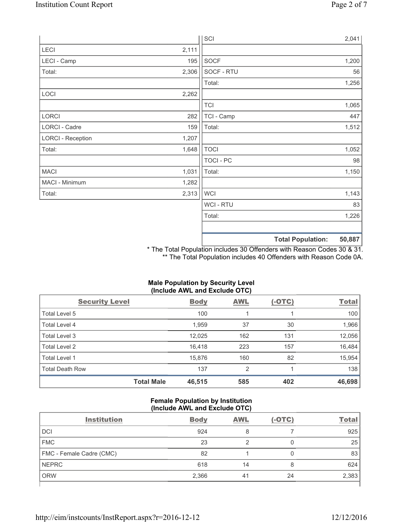|                          |       | SCI            |                          | 2,041  |
|--------------------------|-------|----------------|--------------------------|--------|
| LECI                     | 2,111 |                |                          |        |
| LECI - Camp              | 195   | SOCF           |                          | 1,200  |
| Total:                   | 2,306 | SOCF - RTU     |                          | 56     |
|                          |       | Total:         |                          | 1,256  |
| LOCI                     | 2,262 |                |                          |        |
|                          |       | <b>TCI</b>     |                          | 1,065  |
| LORCI                    | 282   | TCI - Camp     |                          | 447    |
| LORCI - Cadre            | 159   | Total:         |                          | 1,512  |
| <b>LORCI - Reception</b> | 1,207 |                |                          |        |
| Total:                   | 1,648 | <b>TOCI</b>    |                          | 1,052  |
|                          |       | TOCI - PC      |                          | 98     |
| <b>MACI</b>              | 1,031 | Total:         |                          | 1,150  |
| MACI - Minimum           | 1,282 |                |                          |        |
| Total:                   | 2,313 | <b>WCI</b>     |                          | 1,143  |
|                          |       | <b>WCI-RTU</b> |                          | 83     |
|                          |       | Total:         |                          | 1,226  |
|                          |       |                | <b>Total Population:</b> | 50,887 |

\* The Total Population includes 30 Offenders with Reason Codes 30 & 31. \*\* The Total Population includes 40 Offenders with Reason Code 0A.

| (Include AWL and Exclude OTC) |                   |             |                |               |              |  |
|-------------------------------|-------------------|-------------|----------------|---------------|--------------|--|
| <b>Security Level</b>         |                   | <b>Body</b> | <b>AWL</b>     | <u>(-OTC)</u> | <b>Total</b> |  |
| Total Level 5                 |                   | 100         |                |               | 100          |  |
| <b>Total Level 4</b>          |                   | 1,959       | 37             | 30            | 1,966        |  |
| Total Level 3                 |                   | 12,025      | 162            | 131           | 12,056       |  |
| Total Level 2                 |                   | 16,418      | 223            | 157           | 16,484       |  |
| Total Level 1                 |                   | 15,876      | 160            | 82            | 15,954       |  |
| Total Death Row               |                   | 137         | $\overline{2}$ |               | 138          |  |
|                               | <b>Total Male</b> | 46,515      | 585            | 402           | 46,698       |  |

# **Male Population by Security Level**

# **Female Population by Institution (Include AWL and Exclude OTC)**

| <b>Institution</b>       | <b>Body</b> | <b>AWL</b> | $(-OTC)$ | <b>Total</b> |
|--------------------------|-------------|------------|----------|--------------|
| <b>DCI</b>               | 924         | 8          |          | 925          |
| <b>FMC</b>               | 23          |            |          | 25           |
| FMC - Female Cadre (CMC) | 82          |            |          | 83           |
| <b>NEPRC</b>             | 618         | 14         | 8        | 624          |
| <b>ORW</b>               | 2,366       | 41         | 24       | 2,383        |
|                          |             |            |          |              |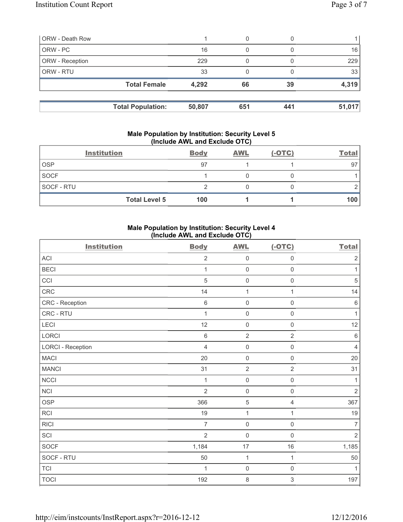| <b>ORW - Death Row</b> |                          |        | 0   |     |        |
|------------------------|--------------------------|--------|-----|-----|--------|
| ORW - PC               |                          | 16     | 0   |     | 16     |
| ORW - Reception        |                          | 229    |     |     | 229    |
| ORW - RTU              |                          | 33     |     |     | 33     |
|                        | <b>Total Female</b>      | 4,292  | 66  | 39  | 4,319  |
|                        | <b>Total Population:</b> | 50,807 | 651 | 441 | 51,017 |

#### **Male Population by Institution: Security Level 5 (Include AWL and Exclude OTC)**

|             | <b>Institution</b>   | <b>Body</b> | <b>AWL</b> | $(-OTC)$ | <b>Total</b> |
|-------------|----------------------|-------------|------------|----------|--------------|
| <b>OSP</b>  |                      | 97          |            |          | 97           |
| <b>SOCF</b> |                      |             |            |          |              |
| SOCF - RTU  |                      |             |            |          |              |
|             | <b>Total Level 5</b> | 100         |            |          | 100          |

# **Male Population by Institution: Security Level 4 (Include AWL and Exclude OTC)**

| <b>Institution</b>       | <b>Body</b>    | <b>AWL</b>          | $(-OTC)$            | <b>Total</b>   |
|--------------------------|----------------|---------------------|---------------------|----------------|
| <b>ACI</b>               | $\overline{2}$ | $\mathsf{O}\xspace$ | $\mathsf 0$         | $\sqrt{2}$     |
| <b>BECI</b>              | $\mathbf{1}$   | $\mathbf 0$         | $\mathsf{O}\xspace$ | 1              |
| CCI                      | 5              | $\mathsf{O}\xspace$ | $\mathbf 0$         | 5              |
| CRC                      | 14             | $\mathbf 1$         | 1                   | 14             |
| CRC - Reception          | $\,6$          | $\mathsf{O}\xspace$ | $\mathsf{O}\xspace$ | 6              |
| CRC - RTU                | 1              | $\mathsf{O}\xspace$ | $\mathsf 0$         | $\mathbf{1}$   |
| LECI                     | 12             | $\mathsf{O}\xspace$ | $\mathbf 0$         | 12             |
| LORCI                    | $\,6$          | $\mathbf 2$         | $\overline{2}$      | 6              |
| <b>LORCI - Reception</b> | $\overline{4}$ | $\mathsf{O}\xspace$ | $\mathsf{O}\xspace$ | $\overline{4}$ |
| <b>MACI</b>              | 20             | $\mathsf{O}\xspace$ | $\mathbf 0$         | 20             |
| <b>MANCI</b>             | 31             | $\overline{2}$      | $\overline{2}$      | 31             |
| <b>NCCI</b>              | $\mathbf{1}$   | $\mathbf 0$         | $\mathbf 0$         | $\mathbf{1}$   |
| NCI                      | $\overline{2}$ | $\mathsf{O}\xspace$ | $\mathsf 0$         | $\overline{2}$ |
| <b>OSP</b>               | 366            | 5                   | 4                   | 367            |
| <b>RCI</b>               | 19             | $\mathbf{1}$        | 1                   | 19             |
| <b>RICI</b>              | $\overline{7}$ | 0                   | $\mathbf 0$         | $\overline{7}$ |
| SCI                      | $\overline{2}$ | $\mathbf 0$         | $\mathbf 0$         | $\overline{2}$ |
| SOCF                     | 1,184          | 17                  | 16                  | 1,185          |
| SOCF - RTU               | 50             | $\mathbf 1$         | 1                   | 50             |
| <b>TCI</b>               | $\mathbf{1}$   | $\mathbf 0$         | $\mathbf 0$         | $\mathbf{1}$   |
| <b>TOCI</b>              | 192            | 8                   | 3                   | 197            |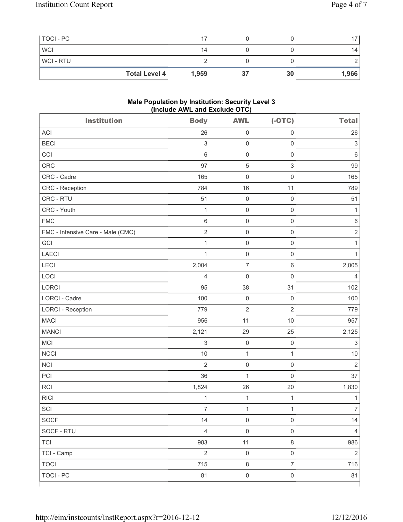| TOCI - PC      |                      | 17    |    |    | 17    |
|----------------|----------------------|-------|----|----|-------|
| <b>WCI</b>     |                      | 14    |    |    | 14    |
| <b>WCI-RTU</b> |                      |       |    |    |       |
|                | <b>Total Level 4</b> | 1,959 | 37 | 30 | 1,966 |

#### **Male Population by Institution: Security Level 3 (Include AWL and Exclude OTC)**

| <b>Institution</b>                | <b>Body</b>               | <b>AWL</b>          | $(-OTC)$                  | <b>Total</b>              |
|-----------------------------------|---------------------------|---------------------|---------------------------|---------------------------|
| <b>ACI</b>                        | 26                        | $\mathsf{O}\xspace$ | $\mathsf 0$               | 26                        |
| <b>BECI</b>                       | $\ensuremath{\mathsf{3}}$ | $\mathsf 0$         | $\mathsf{O}\xspace$       | $\sqrt{3}$                |
| CCI                               | 6                         | $\mathsf{O}\xspace$ | $\mathsf 0$               | $\,6$                     |
| CRC                               | 97                        | $\sqrt{5}$          | $\ensuremath{\mathsf{3}}$ | 99                        |
| CRC - Cadre                       | 165                       | $\mathsf{O}\xspace$ | $\mathsf 0$               | 165                       |
| CRC - Reception                   | 784                       | 16                  | 11                        | 789                       |
| CRC - RTU                         | 51                        | $\mathsf{O}\xspace$ | $\mathsf 0$               | 51                        |
| CRC - Youth                       | $\mathbf{1}$              | $\mathsf{O}\xspace$ | $\mathsf 0$               | 1                         |
| <b>FMC</b>                        | 6                         | $\mathsf{O}\xspace$ | $\mathsf 0$               | $\,6$                     |
| FMC - Intensive Care - Male (CMC) | $\overline{2}$            | $\mathsf{O}\xspace$ | $\mathsf 0$               | $\overline{2}$            |
| GCI                               | $\mathbf 1$               | $\mathsf{O}\xspace$ | $\mathsf 0$               | 1                         |
| <b>LAECI</b>                      | $\mathbf{1}$              | $\mathsf{O}\xspace$ | $\mathsf 0$               | 1                         |
| LECI                              | 2,004                     | $\boldsymbol{7}$    | $\,6\,$                   | 2,005                     |
| LOCI                              | 4                         | $\mathbf 0$         | $\mathsf 0$               | 4                         |
| LORCI                             | 95                        | 38                  | 31                        | 102                       |
| LORCI - Cadre                     | 100                       | $\mathsf{O}\xspace$ | $\mathsf 0$               | 100                       |
| <b>LORCI - Reception</b>          | 779                       | $\overline{2}$      | $\sqrt{2}$                | 779                       |
| <b>MACI</b>                       | 956                       | 11                  | 10                        | 957                       |
| <b>MANCI</b>                      | 2,121                     | 29                  | 25                        | 2,125                     |
| MCI                               | $\ensuremath{\mathsf{3}}$ | $\mathsf{O}\xspace$ | $\mathsf{O}\xspace$       | $\ensuremath{\mathsf{3}}$ |
| <b>NCCI</b>                       | $10$                      | $\mathbf 1$         | $\mathbf{1}$              | 10                        |
| <b>NCI</b>                        | $\overline{2}$            | $\mathsf{O}\xspace$ | $\mathsf 0$               | $\overline{2}$            |
| PCI                               | 36                        | $\mathbf{1}$        | $\mathsf 0$               | 37                        |
| <b>RCI</b>                        | 1,824                     | 26                  | 20                        | 1,830                     |
| <b>RICI</b>                       | $\mathbf{1}$              | $\mathbf 1$         | $\mathbf 1$               | $\mathbf{1}$              |
| SCI                               | $\overline{7}$            | $\mathbf{1}$        | $\mathbf{1}$              | $\overline{7}$            |
| <b>SOCF</b>                       | 14                        | $\mathsf 0$         | $\mathsf 0$               | 14                        |
| SOCF - RTU                        | $\overline{4}$            | $\mathbf 0$         | $\mathsf 0$               | 4                         |
| <b>TCI</b>                        | 983                       | 11                  | $\,8\,$                   | 986                       |
| TCI - Camp                        | $\sqrt{2}$                | $\mathsf 0$         | $\mathsf 0$               | $\overline{2}$            |
| <b>TOCI</b>                       | 715                       | $\,8\,$             | $\overline{7}$            | 716                       |
| <b>TOCI - PC</b>                  | 81                        | $\mathsf{O}\xspace$ | $\mathsf{O}\xspace$       | 81                        |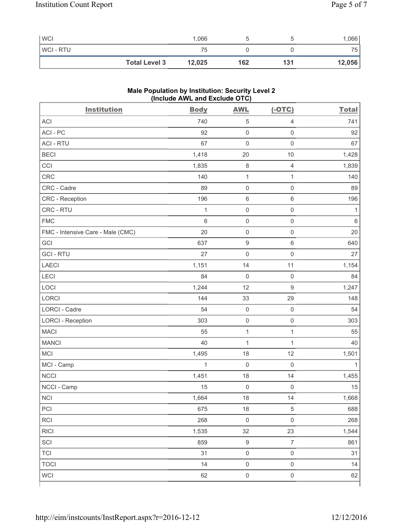| <b>WCI</b>     |                      | 1,066  |     |     | 066    |
|----------------|----------------------|--------|-----|-----|--------|
| <b>WCI-RTU</b> |                      | 75     |     |     | 75.    |
|                | <b>Total Level 3</b> | 12,025 | 162 | 131 | 12,056 |

# **Male Population by Institution: Security Level 2 (Include AWL and Exclude OTC)**

| <b>Institution</b>                | <b>Body</b>  | <b>AWL</b>          | $(-OTC)$            | <b>Total</b> |
|-----------------------------------|--------------|---------------------|---------------------|--------------|
| <b>ACI</b>                        | 740          | $\,$ 5 $\,$         | $\overline{4}$      | 741          |
| ACI-PC                            | 92           | $\mathsf{O}\xspace$ | $\mathsf{O}\xspace$ | 92           |
| <b>ACI - RTU</b>                  | 67           | $\mathbf 0$         | $\mathsf 0$         | 67           |
| <b>BECI</b>                       | 1,418        | 20                  | 10                  | 1,428        |
| CCI                               | 1,835        | $\,8\,$             | $\overline{4}$      | 1,839        |
| <b>CRC</b>                        | 140          | $\mathbf{1}$        | $\mathbf{1}$        | 140          |
| CRC - Cadre                       | 89           | $\mathsf{O}\xspace$ | $\mathsf{O}\xspace$ | 89           |
| CRC - Reception                   | 196          | $\,6\,$             | $\,6\,$             | 196          |
| CRC - RTU                         | $\mathbf{1}$ | $\mathsf{O}\xspace$ | $\mathsf{O}\xspace$ | $\mathbf 1$  |
| <b>FMC</b>                        | 6            | $\mathsf 0$         | $\mathsf{O}\xspace$ | $\,6\,$      |
| FMC - Intensive Care - Male (CMC) | 20           | $\mathsf{O}\xspace$ | $\mathsf 0$         | 20           |
| GCI                               | 637          | $\boldsymbol{9}$    | $\,6\,$             | 640          |
| <b>GCI-RTU</b>                    | 27           | $\mathbf 0$         | $\mathsf 0$         | 27           |
| <b>LAECI</b>                      | 1,151        | 14                  | 11                  | 1,154        |
| LECI                              | 84           | $\mathbf 0$         | $\mathsf 0$         | 84           |
| LOCI                              | 1,244        | 12                  | $\boldsymbol{9}$    | 1,247        |
| LORCI                             | 144          | 33                  | 29                  | 148          |
| LORCI - Cadre                     | 54           | $\mathsf{O}\xspace$ | $\mathsf 0$         | 54           |
| <b>LORCI - Reception</b>          | 303          | $\mathsf{O}\xspace$ | $\mathsf 0$         | 303          |
| <b>MACI</b>                       | 55           | $\mathbf{1}$        | $\mathbf{1}$        | 55           |
| <b>MANCI</b>                      | 40           | 1                   | $\mathbf{1}$        | 40           |
| MCI                               | 1,495        | 18                  | 12                  | 1,501        |
| MCI - Camp                        | $\mathbf{1}$ | $\mathbf 0$         | $\mathbf 0$         | $\mathbf{1}$ |
| <b>NCCI</b>                       | 1,451        | 18                  | 14                  | 1,455        |
| NCCI - Camp                       | 15           | $\mathsf{O}\xspace$ | $\mathbf 0$         | 15           |
| NCI                               | 1,664        | 18                  | 14                  | 1,668        |
| PCI                               | 675          | 18                  | $\,$ 5 $\,$         | 688          |
| RCI                               | 268          | $\mathsf 0$         | $\mathsf 0$         | 268          |
| <b>RICI</b>                       | 1,535        | 32                  | 23                  | 1,544        |
| SCI                               | 859          | $\boldsymbol{9}$    | $\overline{7}$      | 861          |
| <b>TCI</b>                        | 31           | $\mathsf{O}\xspace$ | $\mathsf{O}\xspace$ | 31           |
| <b>TOCI</b>                       | 14           | $\mathsf{O}\xspace$ | $\mathsf{O}\xspace$ | 14           |
| <b>WCI</b>                        | 62           | $\mathsf{O}\xspace$ | $\mathsf{O}\xspace$ | 62           |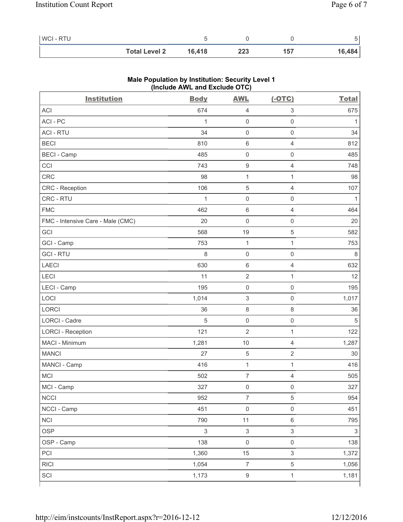| <b>WCI-RTU</b> |                      |        |     |     |        |
|----------------|----------------------|--------|-----|-----|--------|
|                | <b>Total Level 2</b> | 16,418 | 223 | 157 | 16,484 |

| ACI<br>674<br>3<br>4<br>ACI-PC<br>$\mathsf{O}\xspace$<br>$\mathsf{O}\xspace$<br>1<br><b>ACI - RTU</b><br>34<br>$\mathsf{O}\xspace$<br>$\mathsf{O}\xspace$<br><b>BECI</b><br>810<br>6<br>$\overline{4}$<br><b>BECI - Camp</b><br>$\mathsf{O}\xspace$<br>485<br>$\mathsf{O}\xspace$<br>CCI<br>743<br>9<br>4<br><b>CRC</b><br>$\mathbf 1$<br>98<br>$\mathbf{1}$<br>CRC - Reception<br>106<br>$\sqrt{5}$<br>$\overline{4}$<br>CRC - RTU<br>1<br>$\mathsf{O}\xspace$<br>$\mathsf{O}\xspace$<br><b>FMC</b><br>462<br>$\,6\,$<br>$\overline{4}$<br>$\mathsf{O}\xspace$<br>FMC - Intensive Care - Male (CMC)<br>20<br>$\mathsf{O}\xspace$<br>GCI<br>5<br>568<br>19<br>GCI - Camp<br>753<br>$\mathbf 1$<br>1<br><b>GCI-RTU</b><br>8<br>$\mathsf{O}\xspace$<br>$\mathsf{O}\xspace$<br>LAECI<br>630<br>$\,6\,$<br>$\overline{4}$<br>LECI<br>$\sqrt{2}$<br>11<br>1<br>LECI - Camp<br>195<br>$\mathsf{O}\xspace$<br>0<br>LOCI<br>$\ensuremath{\mathsf{3}}$<br>1,014<br>$\mathsf{O}\xspace$<br>LORCI<br>$\,8\,$<br>36<br>8<br>LORCI - Cadre<br>5<br>$\mathsf{O}\xspace$<br>$\mathsf{O}\xspace$<br><b>LORCI - Reception</b><br>121<br>$\overline{\mathbf{c}}$<br>1 | <b>Institution</b> | <b>Body</b> | <b>AWL</b> | $(-OTC)$       | <b>Total</b>   |
|-----------------------------------------------------------------------------------------------------------------------------------------------------------------------------------------------------------------------------------------------------------------------------------------------------------------------------------------------------------------------------------------------------------------------------------------------------------------------------------------------------------------------------------------------------------------------------------------------------------------------------------------------------------------------------------------------------------------------------------------------------------------------------------------------------------------------------------------------------------------------------------------------------------------------------------------------------------------------------------------------------------------------------------------------------------------------------------------------------------------------------------------------------|--------------------|-------------|------------|----------------|----------------|
|                                                                                                                                                                                                                                                                                                                                                                                                                                                                                                                                                                                                                                                                                                                                                                                                                                                                                                                                                                                                                                                                                                                                                     |                    |             |            |                | 675            |
|                                                                                                                                                                                                                                                                                                                                                                                                                                                                                                                                                                                                                                                                                                                                                                                                                                                                                                                                                                                                                                                                                                                                                     |                    |             |            |                | 1              |
|                                                                                                                                                                                                                                                                                                                                                                                                                                                                                                                                                                                                                                                                                                                                                                                                                                                                                                                                                                                                                                                                                                                                                     |                    |             |            |                | 34             |
|                                                                                                                                                                                                                                                                                                                                                                                                                                                                                                                                                                                                                                                                                                                                                                                                                                                                                                                                                                                                                                                                                                                                                     |                    |             |            |                | 812            |
|                                                                                                                                                                                                                                                                                                                                                                                                                                                                                                                                                                                                                                                                                                                                                                                                                                                                                                                                                                                                                                                                                                                                                     |                    |             |            |                | 485            |
|                                                                                                                                                                                                                                                                                                                                                                                                                                                                                                                                                                                                                                                                                                                                                                                                                                                                                                                                                                                                                                                                                                                                                     |                    |             |            |                | 748            |
|                                                                                                                                                                                                                                                                                                                                                                                                                                                                                                                                                                                                                                                                                                                                                                                                                                                                                                                                                                                                                                                                                                                                                     |                    |             |            |                | 98             |
|                                                                                                                                                                                                                                                                                                                                                                                                                                                                                                                                                                                                                                                                                                                                                                                                                                                                                                                                                                                                                                                                                                                                                     |                    |             |            |                | 107            |
|                                                                                                                                                                                                                                                                                                                                                                                                                                                                                                                                                                                                                                                                                                                                                                                                                                                                                                                                                                                                                                                                                                                                                     |                    |             |            |                | $\mathbf{1}$   |
|                                                                                                                                                                                                                                                                                                                                                                                                                                                                                                                                                                                                                                                                                                                                                                                                                                                                                                                                                                                                                                                                                                                                                     |                    |             |            |                | 464            |
|                                                                                                                                                                                                                                                                                                                                                                                                                                                                                                                                                                                                                                                                                                                                                                                                                                                                                                                                                                                                                                                                                                                                                     |                    |             |            |                | 20             |
|                                                                                                                                                                                                                                                                                                                                                                                                                                                                                                                                                                                                                                                                                                                                                                                                                                                                                                                                                                                                                                                                                                                                                     |                    |             |            |                | 582            |
|                                                                                                                                                                                                                                                                                                                                                                                                                                                                                                                                                                                                                                                                                                                                                                                                                                                                                                                                                                                                                                                                                                                                                     |                    |             |            |                | 753            |
|                                                                                                                                                                                                                                                                                                                                                                                                                                                                                                                                                                                                                                                                                                                                                                                                                                                                                                                                                                                                                                                                                                                                                     |                    |             |            |                | $\,8\,$        |
|                                                                                                                                                                                                                                                                                                                                                                                                                                                                                                                                                                                                                                                                                                                                                                                                                                                                                                                                                                                                                                                                                                                                                     |                    |             |            |                | 632            |
|                                                                                                                                                                                                                                                                                                                                                                                                                                                                                                                                                                                                                                                                                                                                                                                                                                                                                                                                                                                                                                                                                                                                                     |                    |             |            |                | 12             |
|                                                                                                                                                                                                                                                                                                                                                                                                                                                                                                                                                                                                                                                                                                                                                                                                                                                                                                                                                                                                                                                                                                                                                     |                    |             |            |                | 195            |
|                                                                                                                                                                                                                                                                                                                                                                                                                                                                                                                                                                                                                                                                                                                                                                                                                                                                                                                                                                                                                                                                                                                                                     |                    |             |            |                | 1,017          |
|                                                                                                                                                                                                                                                                                                                                                                                                                                                                                                                                                                                                                                                                                                                                                                                                                                                                                                                                                                                                                                                                                                                                                     |                    |             |            |                | 36             |
|                                                                                                                                                                                                                                                                                                                                                                                                                                                                                                                                                                                                                                                                                                                                                                                                                                                                                                                                                                                                                                                                                                                                                     |                    |             |            |                | $\sqrt{5}$     |
|                                                                                                                                                                                                                                                                                                                                                                                                                                                                                                                                                                                                                                                                                                                                                                                                                                                                                                                                                                                                                                                                                                                                                     |                    |             |            |                | 122            |
|                                                                                                                                                                                                                                                                                                                                                                                                                                                                                                                                                                                                                                                                                                                                                                                                                                                                                                                                                                                                                                                                                                                                                     | MACI - Minimum     | 1,281       | 10         | $\overline{4}$ | 1,287          |
| <b>MANCI</b><br>27<br>5<br>$\sqrt{2}$                                                                                                                                                                                                                                                                                                                                                                                                                                                                                                                                                                                                                                                                                                                                                                                                                                                                                                                                                                                                                                                                                                               |                    |             |            |                | 30             |
| MANCI - Camp<br>416<br>$\mathbf{1}$<br>1                                                                                                                                                                                                                                                                                                                                                                                                                                                                                                                                                                                                                                                                                                                                                                                                                                                                                                                                                                                                                                                                                                            |                    |             |            |                | 416            |
| <b>MCI</b><br>502<br>$\overline{7}$<br>$\overline{4}$                                                                                                                                                                                                                                                                                                                                                                                                                                                                                                                                                                                                                                                                                                                                                                                                                                                                                                                                                                                                                                                                                               |                    |             |            |                | 505            |
| MCI - Camp<br>327<br>$\mathsf{O}\xspace$<br>$\mathsf{O}\xspace$                                                                                                                                                                                                                                                                                                                                                                                                                                                                                                                                                                                                                                                                                                                                                                                                                                                                                                                                                                                                                                                                                     |                    |             |            |                | 327            |
| <b>NCCI</b><br>7<br>5<br>952                                                                                                                                                                                                                                                                                                                                                                                                                                                                                                                                                                                                                                                                                                                                                                                                                                                                                                                                                                                                                                                                                                                        |                    |             |            |                | 954            |
| NCCI - Camp<br>$\mathsf{O}\xspace$<br>$\mathsf{O}\xspace$<br>451                                                                                                                                                                                                                                                                                                                                                                                                                                                                                                                                                                                                                                                                                                                                                                                                                                                                                                                                                                                                                                                                                    |                    |             |            |                | 451            |
| <b>NCI</b><br>11<br>$\,6\,$<br>790                                                                                                                                                                                                                                                                                                                                                                                                                                                                                                                                                                                                                                                                                                                                                                                                                                                                                                                                                                                                                                                                                                                  |                    |             |            |                | 795            |
| <b>OSP</b><br>$\mathfrak{S}$<br>$\mathsf 3$<br>$\mathsf 3$                                                                                                                                                                                                                                                                                                                                                                                                                                                                                                                                                                                                                                                                                                                                                                                                                                                                                                                                                                                                                                                                                          |                    |             |            |                | $\mathfrak{S}$ |
| OSP - Camp<br>$\mathsf{O}\xspace$<br>$\mathsf{O}\xspace$<br>138                                                                                                                                                                                                                                                                                                                                                                                                                                                                                                                                                                                                                                                                                                                                                                                                                                                                                                                                                                                                                                                                                     |                    |             |            |                | 138            |
| $\mathsf 3$<br>1,360<br>15<br>PCI                                                                                                                                                                                                                                                                                                                                                                                                                                                                                                                                                                                                                                                                                                                                                                                                                                                                                                                                                                                                                                                                                                                   |                    |             |            |                | 1,372          |
| $\overline{\mathcal{I}}$<br>5<br><b>RICI</b><br>1,054                                                                                                                                                                                                                                                                                                                                                                                                                                                                                                                                                                                                                                                                                                                                                                                                                                                                                                                                                                                                                                                                                               |                    |             |            |                | 1,056          |
| SCI<br>1,173<br>$\boldsymbol{9}$<br>$\mathbf{1}$                                                                                                                                                                                                                                                                                                                                                                                                                                                                                                                                                                                                                                                                                                                                                                                                                                                                                                                                                                                                                                                                                                    |                    |             |            |                | 1,181          |

### **Male Population by Institution: Security Level 1 (Include AWL and Exclude OTC)**

٦